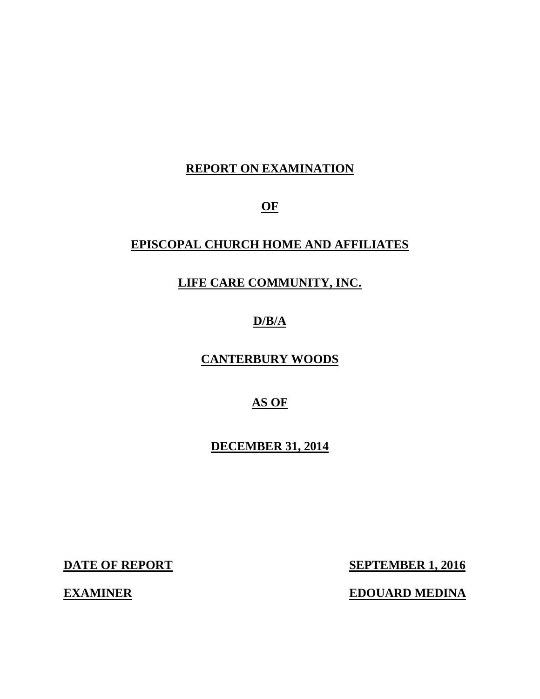# **REPORT ON EXAMINATION**

**OF** 

# **EPISCOPAL CHURCH HOME AND AFFILIATES**

# **LIFE CARE COMMUNITY, INC.**

# **D/B/A**

**CANTERBURY WOODS** 

# **AS OF**

**DECEMBER 31, 2014** 

**DATE OF REPORT** 

**EXAMINER** 

**SEPTEMBER 1, 2016** 

**EDOUARD MEDINA**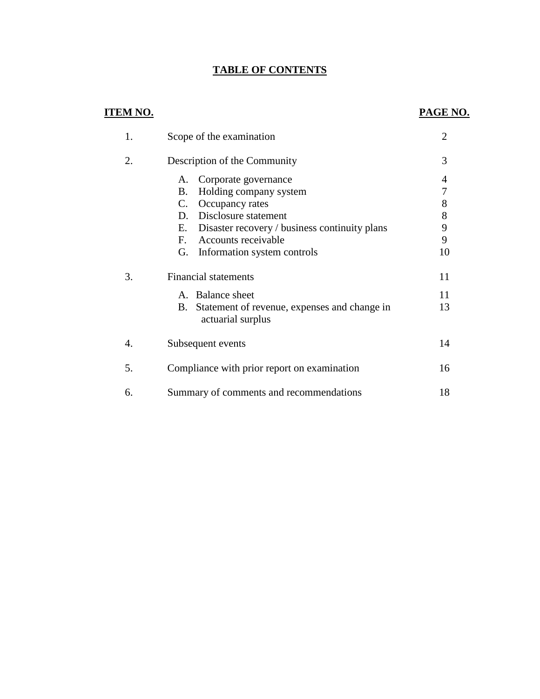# **TABLE OF CONTENTS**

# **ITEM NO.**

### **PAGE NO.**

| 1. | Scope of the examination                                             | $\overline{2}$ |
|----|----------------------------------------------------------------------|----------------|
| 2. | Description of the Community                                         | 3              |
|    | Corporate governance<br>A.                                           | 4              |
|    | Holding company system<br>B.                                         | 7              |
|    | Occupancy rates<br>C.                                                | 8              |
|    | D. Disclosure statement                                              | 8              |
|    | Disaster recovery / business continuity plans<br>Е.                  | 9              |
|    | Accounts receivable<br>$F_{\cdot}$                                   | 9              |
|    | Information system controls<br>G.                                    | 10             |
| 3. | <b>Financial statements</b>                                          | 11             |
|    | A. Balance sheet                                                     | 11             |
|    | B. Statement of revenue, expenses and change in<br>actuarial surplus | 13             |
| 4. | Subsequent events                                                    | 14             |
| 5. | Compliance with prior report on examination                          | 16             |
| 6. | Summary of comments and recommendations                              | 18             |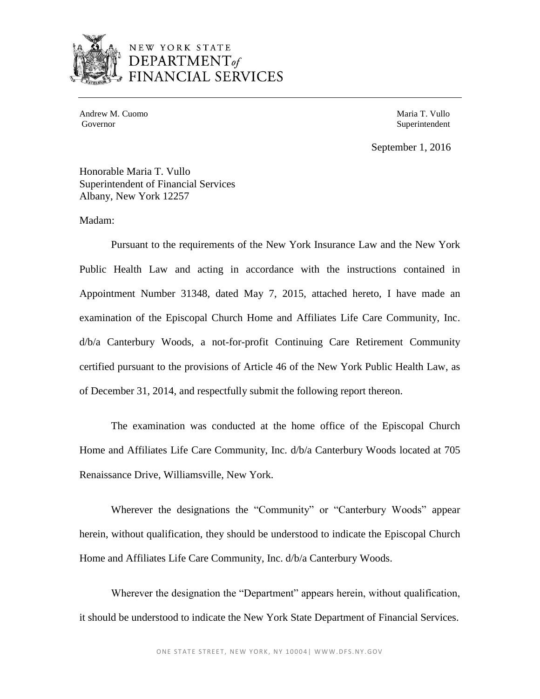

# NEW YORK STATE  $C$ FS

Andrew M. Cuomo **Maria T. Vullo** Andrew M. Cuomo **Maria T. Vullo** Governor

Superintendent

September 1, 2016

Honorable Maria T. Vullo Superintendent of Financial Services Albany, New York 12257

Madam:

 Public Health Law and acting in accordance with the instructions contained in Appointment Number 31348, dated May 7, 2015, attached hereto, I have made an examination of the Episcopal Church Home and Affiliates Life Care Community, Inc. d/b/a Canterbury Woods, a not-for-profit Continuing Care Retirement Community certified pursuant to the provisions of Article 46 of the New York Public Health Law, as Pursuant to the requirements of the New York Insurance Law and the New York of December 31, 2014, and respectfully submit the following report thereon.

 Home and Affiliates Life Care Community, Inc. d/b/a Canterbury Woods located at 705 The examination was conducted at the home office of the Episcopal Church Renaissance Drive, Williamsville, New York.

 Wherever the designations the "Community" or "Canterbury Woods" appear herein, without qualification, they should be understood to indicate the Episcopal Church Home and Affiliates Life Care Community, Inc. d/b/a Canterbury Woods.

Wherever the designation the "Department" appears herein, without qualification, it should be understood to indicate the New York State Department of Financial Services.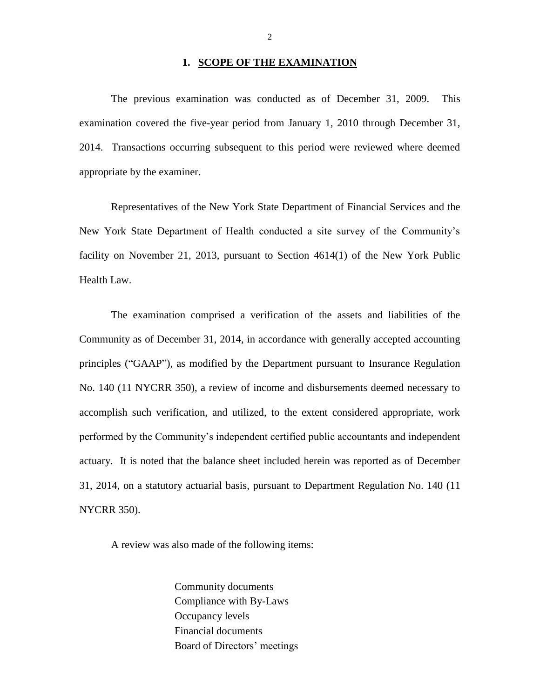#### **1. SCOPE OF THE EXAMINATION**

 The previous examination was conducted as of December 31, 2009. This examination covered the five-year period from January 1, 2010 through December 31, 2014. Transactions occurring subsequent to this period were reviewed where deemed appropriate by the examiner.

 Representatives of the New York State Department of Financial Services and the New York State Department of Health conducted a site survey of the Community's facility on November 21, 2013, pursuant to Section 4614(1) of the New York Public Health Law.

 The examination comprised a verification of the assets and liabilities of the Community as of December 31, 2014, in accordance with generally accepted accounting principles ("GAAP"), as modified by the Department pursuant to Insurance Regulation No. 140 (11 NYCRR 350), a review of income and disbursements deemed necessary to performed by the Community's independent certified public accountants and independent 31, 2014, on a statutory actuarial basis, pursuant to Department Regulation No. 140 (11 accomplish such verification, and utilized, to the extent considered appropriate, work actuary. It is noted that the balance sheet included herein was reported as of December NYCRR 350).

A review was also made of the following items:

 Community documents Compliance with By-Laws Occupancy levels Financial documents Board of Directors' meetings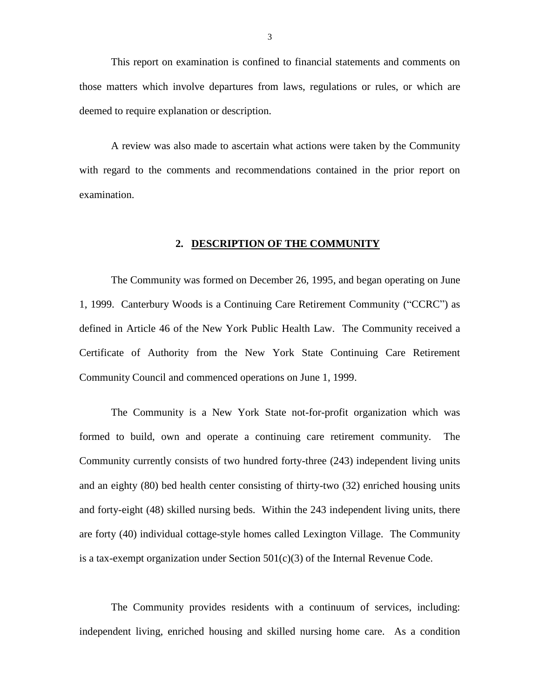This report on examination is confined to financial statements and comments on those matters which involve departures from laws, regulations or rules, or which are deemed to require explanation or description.

 A review was also made to ascertain what actions were taken by the Community with regard to the comments and recommendations contained in the prior report on examination.

#### **2. DESCRIPTION OF THE COMMUNITY**

 The Community was formed on December 26, 1995, and began operating on June 1, 1999. Canterbury Woods is a Continuing Care Retirement Community ("CCRC") as defined in Article 46 of the New York Public Health Law. The Community received a Certificate of Authority from the New York State Continuing Care Retirement Community Council and commenced operations on June 1, 1999.

 formed to build, own and operate a continuing care retirement community. The Community currently consists of two hundred forty-three (243) independent living units and an eighty (80) bed health center consisting of thirty-two (32) enriched housing units and forty-eight (48) skilled nursing beds. Within the 243 independent living units, there are forty (40) individual cottage-style homes called Lexington Village. The Community The Community is a New York State not-for-profit organization which was is a tax-exempt organization under Section  $501(c)(3)$  of the Internal Revenue Code.

 The Community provides residents with a continuum of services, including: independent living, enriched housing and skilled nursing home care. As a condition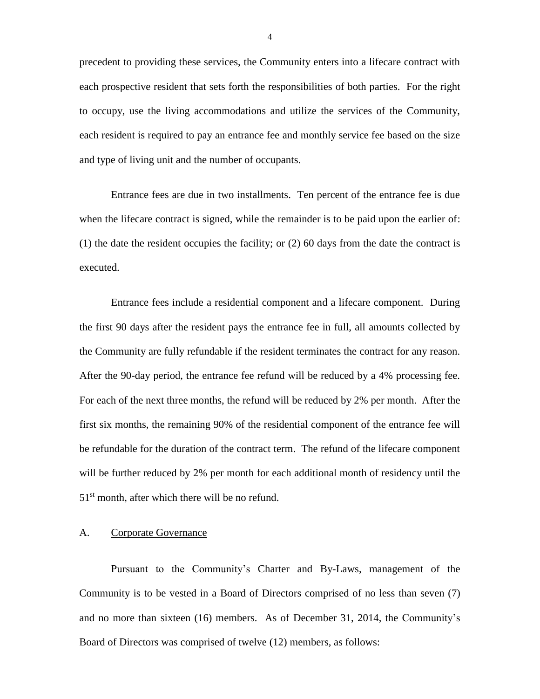precedent to providing these services, the Community enters into a lifecare contract with each prospective resident that sets forth the responsibilities of both parties. For the right to occupy, use the living accommodations and utilize the services of the Community, each resident is required to pay an entrance fee and monthly service fee based on the size and type of living unit and the number of occupants.

 Entrance fees are due in two installments. Ten percent of the entrance fee is due when the lifecare contract is signed, while the remainder is to be paid upon the earlier of: (1) the date the resident occupies the facility; or (2) 60 days from the date the contract is executed.

 Entrance fees include a residential component and a lifecare component. During the first 90 days after the resident pays the entrance fee in full, all amounts collected by the Community are fully refundable if the resident terminates the contract for any reason. After the 90-day period, the entrance fee refund will be reduced by a 4% processing fee. For each of the next three months, the refund will be reduced by 2% per month. After the first six months, the remaining 90% of the residential component of the entrance fee will be refundable for the duration of the contract term. The refund of the lifecare component will be further reduced by 2% per month for each additional month of residency until the  $51<sup>st</sup>$  month, after which there will be no refund.

#### A. Corporate Governance

 Community is to be vested in a Board of Directors comprised of no less than seven (7) and no more than sixteen (16) members. As of December 31, 2014, the Community's Board of Directors was comprised of twelve (12) members, as follows: Pursuant to the Community's Charter and By-Laws, management of the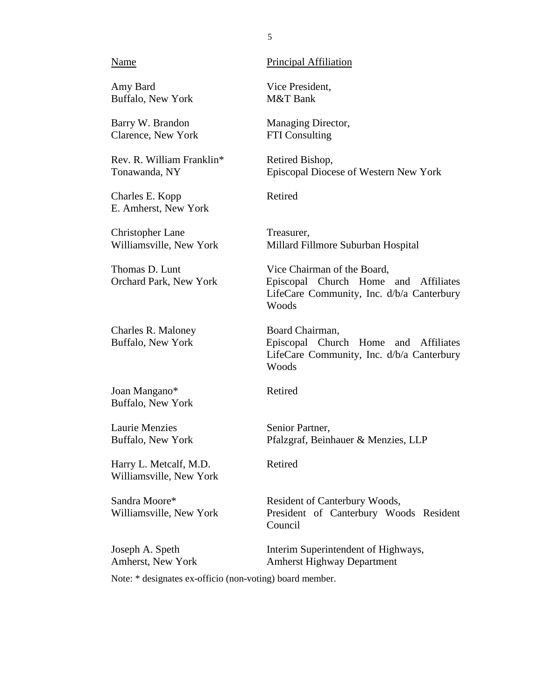#### Name

Amy Bard Buffalo, New York

Barry W. Brandon Clarence, New York

Rev. R. William Franklin\* Tonawanda, NY

Charles E. Kopp E. Amherst, New York

Christopher Lane Williamsville, New York

Thomas D. Lunt Orchard Park, New York

Charles R. Maloney Buffalo, New York

Joan Mangano\* Buffalo, New York

Laurie Menzies Buffalo, New York

Harry L. Metcalf, M.D. Williamsville, New York

Sandra Moore\* Williamsville, New York

Joseph A. Speth Amherst, New York Principal Affiliation

Vice President, M&T Bank

Managing Director, FTI Consulting

Retired Bishop, Episcopal Diocese of Western New York

Retired

Treasurer, Millard Fillmore Suburban Hospital

 LifeCare Community, Inc. d/b/a Canterbury Vice Chairman of the Board, Episcopal Church Home and Affiliates Woods

 LifeCare Community, Inc. d/b/a Canterbury Board Chairman, Episcopal Church Home and Affiliates Woods

Retired

Senior Partner, Pfalzgraf, Beinhauer & Menzies, LLP

Retired

Resident of Canterbury Woods, President of Canterbury Woods Resident Council

Interim Superintendent of Highways, Amherst Highway Department

Note: \* designates ex-officio (non-voting) board member.

5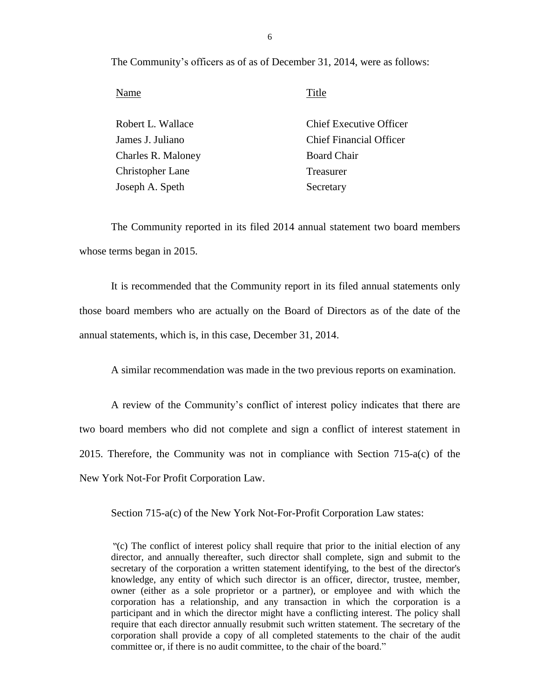The Community's officers as of as of December 31, 2014, were as follows:

Name Title

| Robert L. Wallace  | <b>Chief Executive Officer</b> |
|--------------------|--------------------------------|
| James J. Juliano   | <b>Chief Financial Officer</b> |
| Charles R. Maloney | <b>Board Chair</b>             |
| Christopher Lane   | Treasurer                      |
| Joseph A. Speth    | Secretary                      |

 The Community reported in its filed 2014 annual statement two board members whose terms began in 2015.

 It is recommended that the Community report in its filed annual statements only those board members who are actually on the Board of Directors as of the date of the annual statements, which is, in this case, December 31, 2014.

A similar recommendation was made in the two previous reports on examination.

 A review of the Community's conflict of interest policy indicates that there are 2015. Therefore, the Community was not in compliance with Section 715-a(c) of the New York Not-For Profit Corporation Law. two board members who did not complete and sign a conflict of interest statement in

Section 715-a(c) of the New York Not-For-Profit Corporation Law states:

 *"*(c) The conflict of interest policy shall require that prior to the initial election of any director, and annually thereafter, such director shall complete, sign and submit to the secretary of the corporation a written statement identifying, to the best of the director's knowledge, any entity of which such director is an officer, director, trustee, member, owner (either as a sole proprietor or a partner), or employee and with which the participant and in which the director might have a conflicting interest. The policy shall require that each director annually resubmit such written statement. The secretary of the corporation shall provide a copy of all completed statements to the chair of the audit corporation has a relationship, and any transaction in which the corporation is a committee or, if there is no audit committee, to the chair of the board."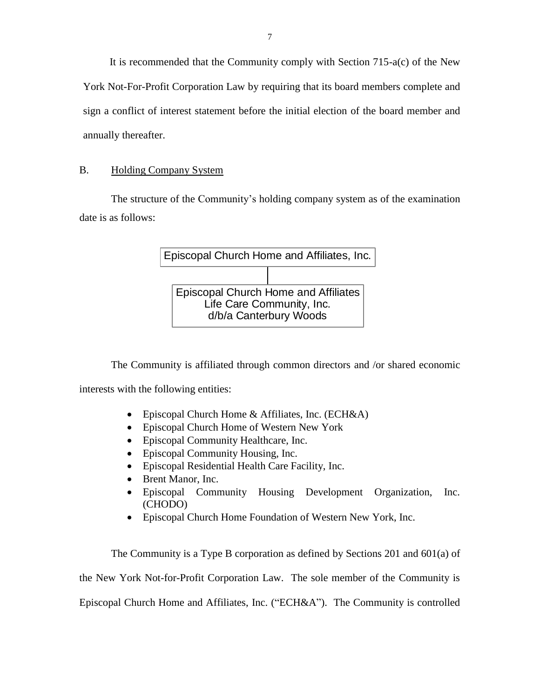York Not-For-Profit Corporation Law by requiring that its board members complete and sign a conflict of interest statement before the initial election of the board member and It is recommended that the Community comply with Section 715-a(c) of the New annually thereafter.

### B. Holding Company System

 The structure of the Community's holding company system as of the examination date is as follows:



 The Community is affiliated through common directors and /or shared economic interests with the following entities:

- Episcopal Church Home & Affiliates, Inc. (ECH&A)
- Episcopal Church Home of Western New York
- Episcopal Community Healthcare, Inc.
- Episcopal Community Housing, Inc.
- Episcopal Residential Health Care Facility, Inc.
- Brent Manor, Inc.
- Episcopal Community Housing Development Organization, Inc. (CHODO)
- Episcopal Church Home Foundation of Western New York, Inc.

 The Community is a Type B corporation as defined by Sections 201 and 601(a) of the New York Not-for-Profit Corporation Law. The sole member of the Community is Episcopal Church Home and Affiliates, Inc. ("ECH&A"). The Community is controlled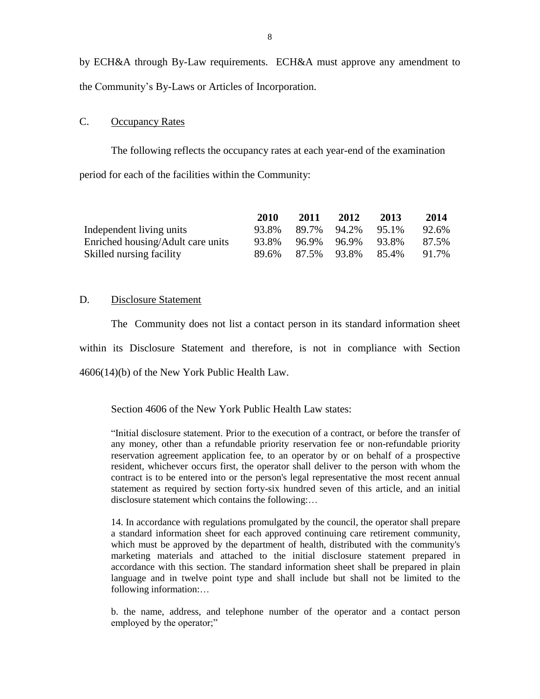by ECH&A through By-Law requirements. ECH&A must approve any amendment to the Community's By-Laws or Articles of Incorporation.

#### C. Occupancy Rates

The following reflects the occupancy rates at each year-end of the examination period for each of the facilities within the Community:

|                                   | <b>2010</b> | 2011  | 2012        | 2013  | 2014  |
|-----------------------------------|-------------|-------|-------------|-------|-------|
| Independent living units          | 93.8%       | 89.7% | 94.2%       | 95.1% | 92.6% |
| Enriched housing/Adult care units | 93.8%       | 96.9% | 96.9%       | 93.8% | 87.5% |
| Skilled nursing facility          | 89.6%       |       | 87.5% 93.8% | 85.4% | 91.7% |

#### D. Disclosure Statement

 within its Disclosure Statement and therefore, is not in compliance with Section The Community does not list a contact person in its standard information sheet 4606(14)(b) of the New York Public Health Law.

Section 4606 of the New York Public Health Law states:

 "Initial disclosure statement. Prior to the execution of a contract, or before the transfer of any money, other than a refundable priority reservation fee or non-refundable priority reservation agreement application fee, to an operator by or on behalf of a prospective resident, whichever occurs first, the operator shall deliver to the person with whom the contract is to be entered into or the person's legal representative the most recent annual statement as required by section forty-six hundred seven of this article, and an initial disclosure statement which contains the following:…

 14. In accordance with regulations promulgated by the council, the operator shall prepare a standard information sheet for each approved continuing care retirement community, which must be approved by the department of health, distributed with the community's accordance with this section. The standard information sheet shall be prepared in plain language and in twelve point type and shall include but shall not be limited to the marketing materials and attached to the initial disclosure statement prepared in following information:…

 b. the name, address, and telephone number of the operator and a contact person employed by the operator;"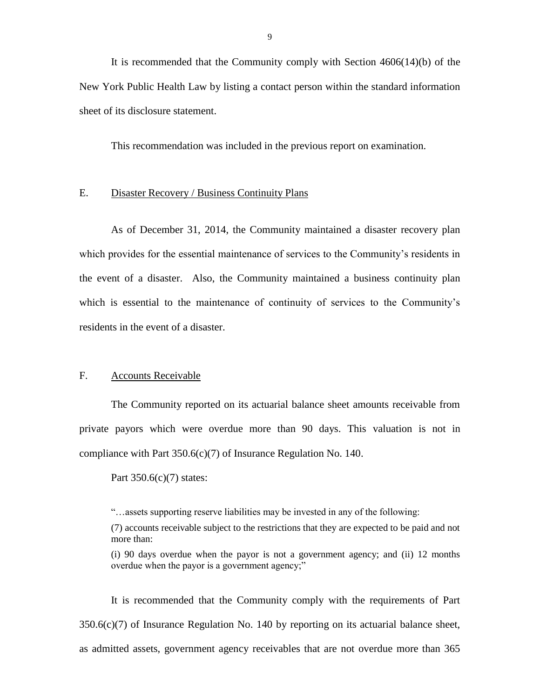New York Public Health Law by listing a contact person within the standard information It is recommended that the Community comply with Section 4606(14)(b) of the sheet of its disclosure statement.

This recommendation was included in the previous report on examination.

#### E. Disaster Recovery / Business Continuity Plans

 As of December 31, 2014, the Community maintained a disaster recovery plan the event of a disaster. Also, the Community maintained a business continuity plan which provides for the essential maintenance of services to the Community's residents in which is essential to the maintenance of continuity of services to the Community's residents in the event of a disaster.

#### F. Accounts Receivable

 The Community reported on its actuarial balance sheet amounts receivable from private payors which were overdue more than 90 days. This valuation is not in compliance with Part 350.6(c)(7) of Insurance Regulation No. 140.<br>Part 350.6(c)(7) states:

"…assets supporting reserve liabilities may be invested in any of the following:

(7) accounts receivable subject to the restrictions that they are expected to be paid and not more than:

 (i) 90 days overdue when the payor is not a government agency; and (ii) 12 months overdue when the payor is a government agency;"

 It is recommended that the Community comply with the requirements of Part  $350.6(c)(7)$  of Insurance Regulation No. 140 by reporting on its actuarial balance sheet, as admitted assets, government agency receivables that are not overdue more than 365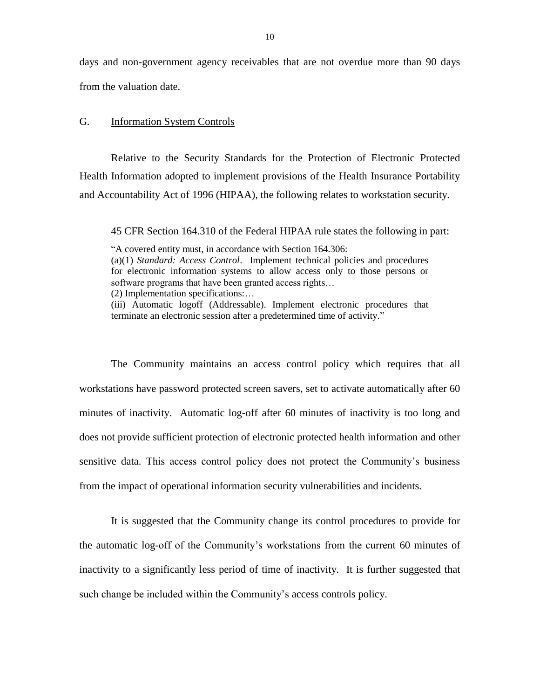days and non-government agency receivables that are not overdue more than 90 days from the valuation date.

#### G. Information System Controls

 Health Information adopted to implement provisions of the Health Insurance Portability Relative to the Security Standards for the Protection of Electronic Protected and Accountability Act of 1996 (HIPAA), the following relates to workstation security.

45 CFR Section 164.310 of the Federal HIPAA rule states the following in part:

 (a)(1) *Standard: Access Control*. Implement technical policies and procedures for electronic information systems to allow access only to those persons or (iii) Automatic logoff (Addressable). Implement electronic procedures that "A covered entity must, in accordance with Section 164.306: software programs that have been granted access rights… (2) Implementation specifications:…

terminate an electronic session after a predetermined time of activity."

 workstations have password protected screen savers, set to activate automatically after 60 minutes of inactivity. Automatic log-off after 60 minutes of inactivity is too long and does not provide sufficient protection of electronic protected health information and other The Community maintains an access control policy which requires that all sensitive data. This access control policy does not protect the Community's business from the impact of operational information security vulnerabilities and incidents.

 It is suggested that the Community change its control procedures to provide for the automatic log-off of the Community's workstations from the current 60 minutes of inactivity to a significantly less period of time of inactivity. It is further suggested that such change be included within the Community's access controls policy.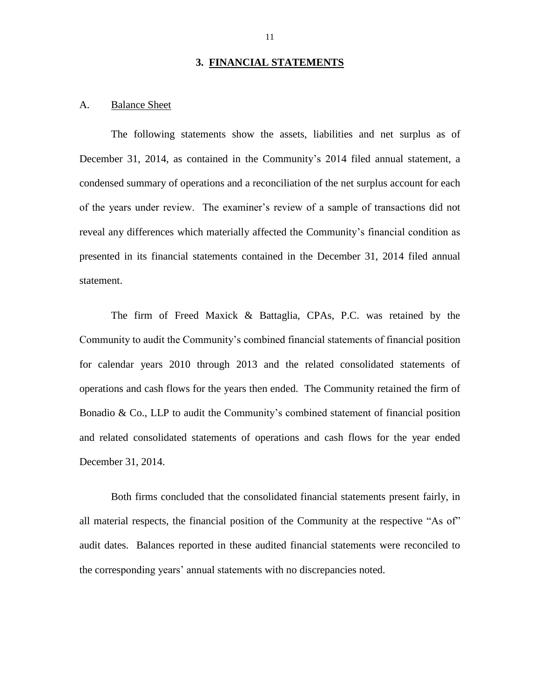#### **3. FINANCIAL STATEMENTS**

#### A. **Balance Sheet**

 The following statements show the assets, liabilities and net surplus as of condensed summary of operations and a reconciliation of the net surplus account for each of the years under review. The examiner's review of a sample of transactions did not reveal any differences which materially affected the Community's financial condition as presented in its financial statements contained in the December 31, 2014 filed annual December 31, 2014, as contained in the Community's 2014 filed annual statement, a statement.

 The firm of Freed Maxick & Battaglia, CPAs, P.C. was retained by the for calendar years 2010 through 2013 and the related consolidated statements of operations and cash flows for the years then ended. The Community retained the firm of Bonadio & Co., LLP to audit the Community's combined statement of financial position and related consolidated statements of operations and cash flows for the year ended December 31, 2014. Community to audit the Community's combined financial statements of financial position

 audit dates. Balances reported in these audited financial statements were reconciled to Both firms concluded that the consolidated financial statements present fairly, in all material respects, the financial position of the Community at the respective "As of" the corresponding years' annual statements with no discrepancies noted.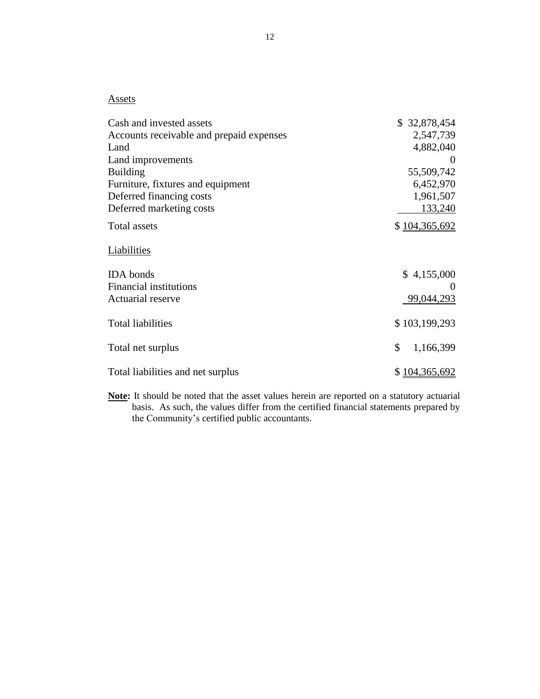#### **Assets**

| Cash and invested assets                 | \$32,878,454    |
|------------------------------------------|-----------------|
| Accounts receivable and prepaid expenses | 2,547,739       |
| Land                                     | 4,882,040       |
| Land improvements                        |                 |
| <b>Building</b>                          | 55,509,742      |
| Furniture, fixtures and equipment        | 6,452,970       |
| Deferred financing costs                 | 1,961,507       |
| Deferred marketing costs                 | 133,240         |
| Total assets                             | \$104,365,692   |
| Liabilities                              |                 |
| <b>IDA</b> bonds                         | \$4,155,000     |
| <b>Financial institutions</b>            | $\theta$        |
| Actuarial reserve                        | 99,044,293      |
| <b>Total liabilities</b>                 | \$103,199,293   |
| Total net surplus                        | \$<br>1,166,399 |
| Total liabilities and net surplus        | \$104,365,692   |

 **Note:** It should be noted that the asset values herein are reported on a statutory actuarial basis. As such, the values differ from the certified financial statements prepared by the Community's certified public accountants.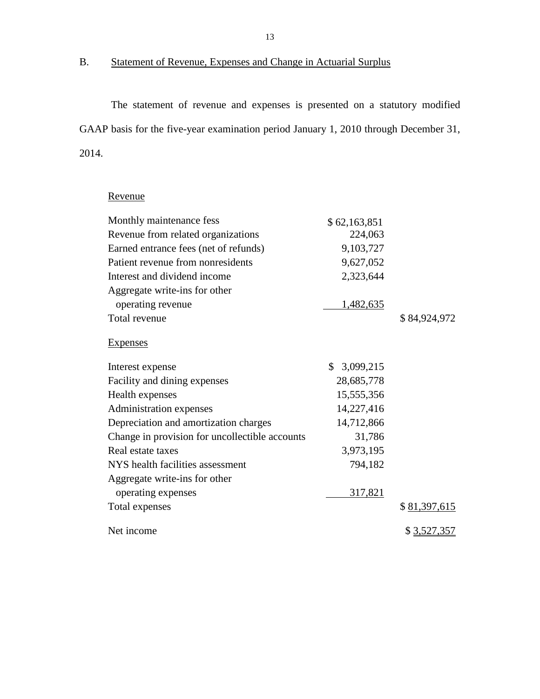# B. Statement of Revenue, Expenses and Change in Actuarial Surplus

 The statement of revenue and expenses is presented on a statutory modified GAAP basis for the five-year examination period January 1, 2010 through December 31, 2014.

# Revenue

| Monthly maintenance fess                       | \$62,163,851 |              |
|------------------------------------------------|--------------|--------------|
| Revenue from related organizations             | 224,063      |              |
| Earned entrance fees (net of refunds)          | 9,103,727    |              |
| Patient revenue from nonresidents              | 9,627,052    |              |
| Interest and dividend income                   | 2,323,644    |              |
| Aggregate write-ins for other                  |              |              |
| operating revenue                              | 1,482,635    |              |
| Total revenue                                  |              | \$84,924,972 |
| Expenses                                       |              |              |
| Interest expense                               | \$3,099,215  |              |
| Facility and dining expenses                   | 28,685,778   |              |
| Health expenses                                | 15,555,356   |              |
| Administration expenses                        | 14,227,416   |              |
| Depreciation and amortization charges          | 14,712,866   |              |
| Change in provision for uncollectible accounts | 31,786       |              |
| Real estate taxes                              | 3,973,195    |              |
| NYS health facilities assessment               | 794,182      |              |
| Aggregate write-ins for other                  |              |              |
| operating expenses                             | 317,821      |              |
| Total expenses                                 |              | \$81,397,615 |
| Net income                                     |              | \$3,527,357  |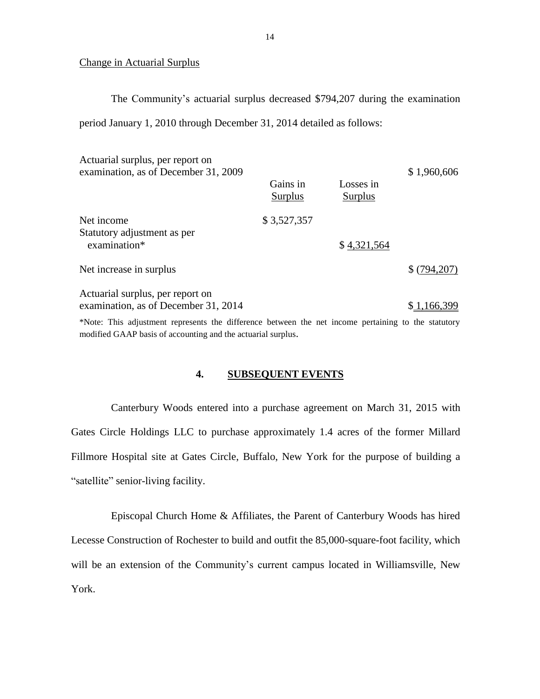#### Change in Actuarial Surplus

The Community's actuarial surplus decreased \$794,207 during the examination

period January 1, 2010 through December 31, 2014 detailed as follows:

| Actuarial surplus, per report on<br>examination, as of December 31, 2009 | Gains in<br>Surplus | Losses in<br>Surplus | \$1,960,606 |
|--------------------------------------------------------------------------|---------------------|----------------------|-------------|
|                                                                          |                     |                      |             |
| Net income                                                               | \$3,527,357         |                      |             |
| Statutory adjustment as per<br>examination*                              |                     | \$4,321,564          |             |
| Net increase in surplus                                                  |                     |                      | \$(794,207) |
| Actuarial surplus, per report on<br>examination, as of December 31, 2014 |                     |                      | \$1,166,399 |

 \*Note: This adjustment represents the difference between the net income pertaining to the statutory modified GAAP basis of accounting and the actuarial surplus.

### **4. SUBSEQUENT EVENTS**

 Canterbury Woods entered into a purchase agreement on March 31, 2015 with Gates Circle Holdings LLC to purchase approximately 1.4 acres of the former Millard Fillmore Hospital site at Gates Circle, Buffalo, New York for the purpose of building a "satellite" senior-living facility.

 "satellite" senior-living facility. Episcopal Church Home & Affiliates, the Parent of Canterbury Woods has hired will be an extension of the Community's current campus located in Williamsville, New Lecesse Construction of Rochester to build and outfit the 85,000-square-foot facility, which York.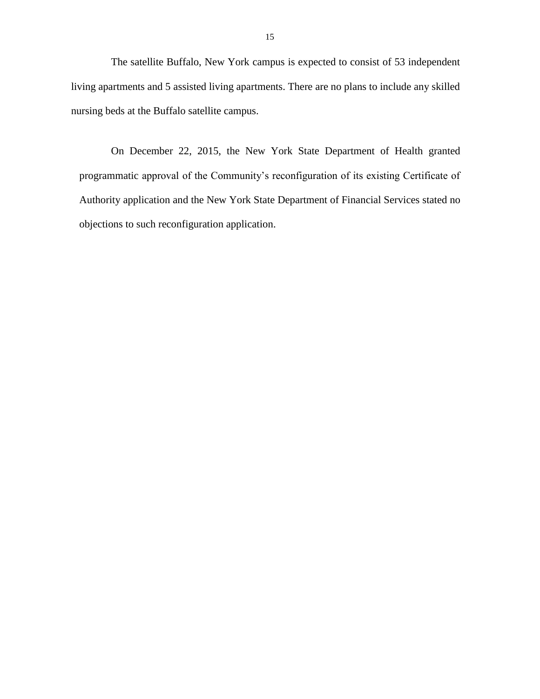The satellite Buffalo, New York campus is expected to consist of 53 independent nursing beds at the Buffalo satellite campus. living apartments and 5 assisted living apartments. There are no plans to include any skilled

 Authority application and the New York State Department of Financial Services stated no On December 22, 2015, the New York State Department of Health granted programmatic approval of the Community's reconfiguration of its existing Certificate of objections to such reconfiguration application.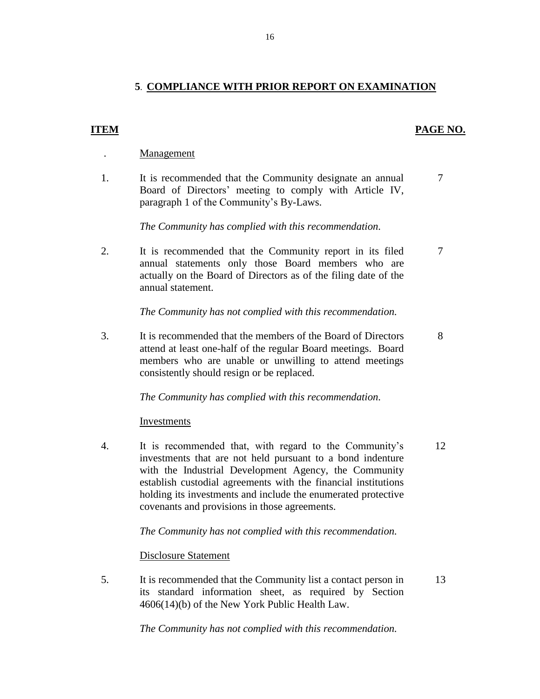# **5**. **COMPLIANCE WITH PRIOR REPORT ON EXAMINATION**

#### **ITEM** PAGE NO.

- . Management
- 1. It is recommended that the Community designate an annual 7 Board of Directors' meeting to comply with Article IV, paragraph 1 of the Community's By-Laws.

*The Community has complied with this recommendation.* 

2. It is recommended that the Community report in its filed 7 annual statements only those Board members who are actually on the Board of Directors as of the filing date of the annual statement.

*The Community has not complied with this recommendation.* 

 attend at least one-half of the regular Board meetings. Board 3. It is recommended that the members of the Board of Directors 8 members who are unable or unwilling to attend meetings consistently should resign or be replaced.

*The Community has complied with this recommendation.* 

**Investments** 

 holding its investments and include the enumerated protective 4. It is recommended that, with regard to the Community's 12 investments that are not held pursuant to a bond indenture with the Industrial Development Agency, the Community establish custodial agreements with the financial institutions covenants and provisions in those agreements.

*The Community has not complied with this recommendation.* 

Disclosure Statement

5. It is recommended that the Community list a contact person in 13 its standard information sheet, as required by Section 4606(14)(b) of the New York Public Health Law.

*The Community has not complied with this recommendation.*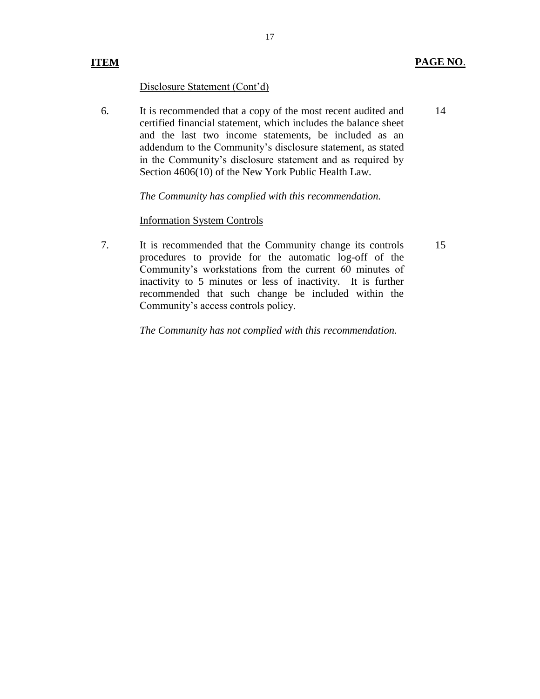### Disclosure Statement (Cont'd)

 6. It is recommended that a copy of the most recent audited and certified financial statement, which includes the balance sheet and the last two income statements, be included as an addendum to the Community's disclosure statement, as stated in the Community's disclosure statement and as required by Section 4606(10) of the New York Public Health Law. 14

*The Community has complied with this recommendation.* 

#### Information System Controls

 7. It is recommended that the Community change its controls procedures to provide for the automatic log-off of the recommended that such change be included within the Community's workstations from the current 60 minutes of inactivity to 5 minutes or less of inactivity. It is further Community's access controls policy.

*The Community has not complied with this recommendation.*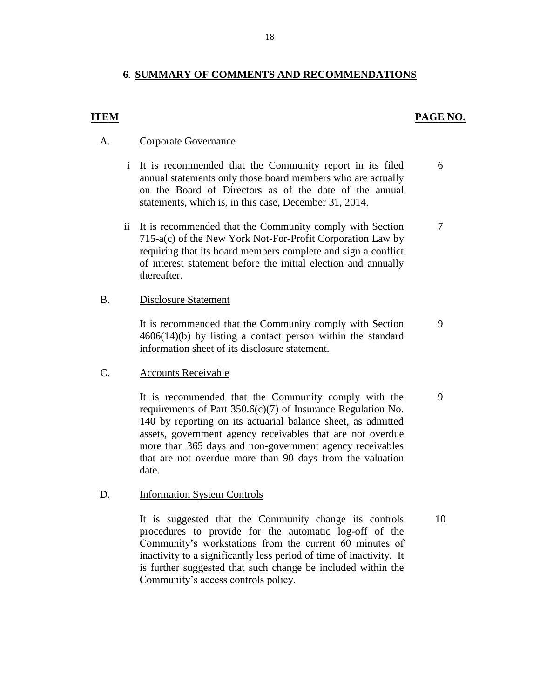#### **6**. **SUMMARY OF COMMENTS AND RECOMMENDATIONS**

#### **ITEM PAGE NO.**

#### A. Corporate Governance

- i It is recommended that the Community report in its filed 6 annual statements only those board members who are actually on the Board of Directors as of the date of the annual statements, which is, in this case, December 31, 2014.
- ii It is recommended that the Community comply with Section 7 requiring that its board members complete and sign a conflict 715-a(c) of the New York Not-For-Profit Corporation Law by of interest statement before the initial election and annually thereafter.

#### B. Disclosure Statement

It is recommended that the Community comply with Section 9 4606(14)(b) by listing a contact person within the standard information sheet of its disclosure statement.

### C. Accounts Receivable

It is recommended that the Community comply with the 9 140 by reporting on its actuarial balance sheet, as admitted more than 365 days and non-government agency receivables requirements of Part 350.6(c)(7) of Insurance Regulation No. assets, government agency receivables that are not overdue that are not overdue more than 90 days from the valuation date.

#### D. Information System Controls

It is suggested that the Community change its controls 10 procedures to provide for the automatic log-off of the is further suggested that such change be included within the Community's workstations from the current 60 minutes of inactivity to a significantly less period of time of inactivity. It Community's access controls policy.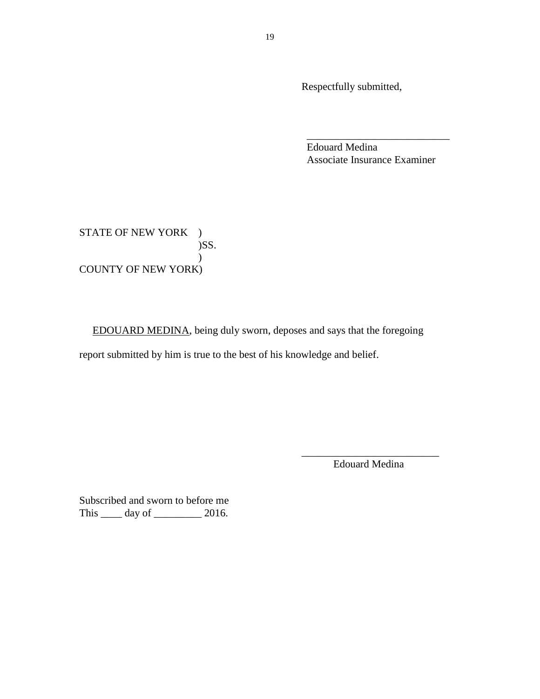Respectfully submitted,

Edouard Medina Associate Insurance Examiner

\_\_\_\_\_\_\_\_\_\_\_\_\_\_\_\_\_\_\_\_\_\_\_\_\_\_\_

**COUNTY OF NEW YORK)** STATE OF NEW YORK )  $)$ SS. )

EDOUARD MEDINA, being duly sworn, deposes and says that the foregoing

report submitted by him is true to the best of his knowledge and belief.

\_\_\_\_\_\_\_\_\_\_\_\_\_\_\_\_\_\_\_\_\_\_\_\_\_\_ Edouard Medina

Subscribed and sworn to before me This \_\_\_\_\_\_ day of \_\_\_\_\_\_\_\_\_\_ 2016.